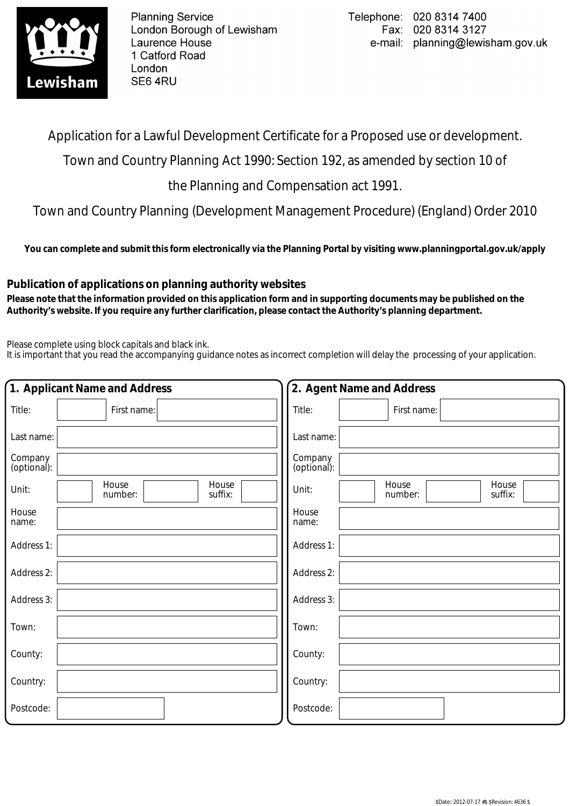

**Planning Service** London Borough of Lewisham Laurence House 1 Catford Road London SE6 4RU

Application for a Lawful Development Certificate for a Proposed use or development.

Town and Country Planning Act 1990: Section 192, as amended by section 10 of

the Planning and Compensation act 1991.

Town and Country Planning (Development Management Procedure) (England) Order 2010

**You can complete and submit this form electronically via the Planning Portal by visiting www.planningportal.gov.uk/apply**

## **Publication of applications on planning authority websites**

 **Please note that the information provided on this application form and in supporting documents may be published on the Authority's website. If you require any further clarification, please contact the Authority's planning department.**

Please complete using block capitals and black ink.

It is important that you read the accompanying guidance notes as incorrect completion will delay the processing of your application.

|                        | 1. Applicant Name and Address        | 2. Agent Name and Address                     |
|------------------------|--------------------------------------|-----------------------------------------------|
| Title:                 | First name:                          | Title:<br>First name:                         |
| Last name:             |                                      | Last name:                                    |
| Company<br>(optional): |                                      | Company<br>(optional):                        |
| Unit:                  | House<br>House<br>suffix:<br>number: | House<br>House<br>Unit:<br>suffix:<br>number: |
| House<br>name:         |                                      | House<br>name:                                |
| Address 1:             |                                      | Address 1:                                    |
| Address 2:             |                                      | Address 2:                                    |
| Address 3:             |                                      | Address 3:                                    |
| Town:                  |                                      | Town:                                         |
| County:                |                                      | County:                                       |
| Country:               |                                      | Country:                                      |
| Postcode:              |                                      | Postcode:                                     |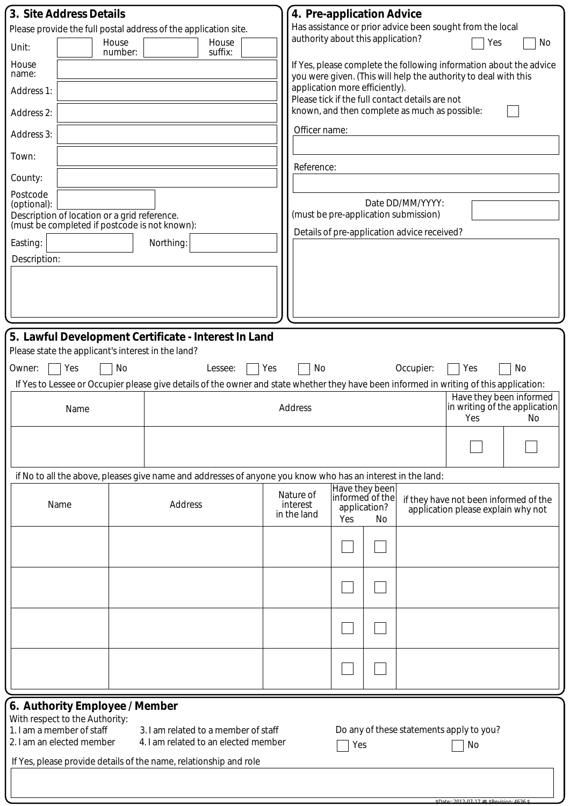| 3. Site Address Details                                                                                                                                                  |                                                                                                                                         |         |           |                  | 4. Pre-application Advice                                                                      |                                                                                     |                           |                                   |                                                 |                                                                             |                                                                    |
|--------------------------------------------------------------------------------------------------------------------------------------------------------------------------|-----------------------------------------------------------------------------------------------------------------------------------------|---------|-----------|------------------|------------------------------------------------------------------------------------------------|-------------------------------------------------------------------------------------|---------------------------|-----------------------------------|-------------------------------------------------|-----------------------------------------------------------------------------|--------------------------------------------------------------------|
| Please provide the full postal address of the application site.                                                                                                          |                                                                                                                                         |         |           |                  | Has assistance or prior advice been sought from the local<br>authority about this application? |                                                                                     |                           |                                   |                                                 |                                                                             |                                                                    |
| Unit:                                                                                                                                                                    | House                                                                                                                                   | number: |           | House<br>suffix: |                                                                                                |                                                                                     |                           |                                   |                                                 | Yes                                                                         | No                                                                 |
| House<br>name:                                                                                                                                                           |                                                                                                                                         |         |           |                  |                                                                                                |                                                                                     |                           |                                   |                                                 | you were given. (This will help the authority to deal with this             | If Yes, please complete the following information about the advice |
| Address 1:                                                                                                                                                               |                                                                                                                                         |         |           |                  |                                                                                                | application more efficiently).                                                      |                           |                                   | Please tick if the full contact details are not |                                                                             |                                                                    |
| Address 2:                                                                                                                                                               |                                                                                                                                         |         |           |                  |                                                                                                | known, and then complete as much as possible:                                       |                           |                                   |                                                 |                                                                             |                                                                    |
| Address 3:                                                                                                                                                               |                                                                                                                                         |         |           |                  |                                                                                                | Officer name:                                                                       |                           |                                   |                                                 |                                                                             |                                                                    |
| Town:                                                                                                                                                                    |                                                                                                                                         |         |           |                  |                                                                                                | Reference:                                                                          |                           |                                   |                                                 |                                                                             |                                                                    |
| County:                                                                                                                                                                  |                                                                                                                                         |         |           |                  |                                                                                                |                                                                                     |                           |                                   |                                                 |                                                                             |                                                                    |
| Postcode<br>(optional):                                                                                                                                                  |                                                                                                                                         |         |           |                  |                                                                                                | Date DD/MM/YYYY:                                                                    |                           |                                   |                                                 |                                                                             |                                                                    |
|                                                                                                                                                                          | Description of location or a grid reference.<br>(must be completed if postcode is not known):                                           |         |           |                  |                                                                                                | (must be pre-application submission)<br>Details of pre-application advice received? |                           |                                   |                                                 |                                                                             |                                                                    |
| Easting:                                                                                                                                                                 |                                                                                                                                         |         | Northing: |                  |                                                                                                |                                                                                     |                           |                                   |                                                 |                                                                             |                                                                    |
| Description:                                                                                                                                                             |                                                                                                                                         |         |           |                  |                                                                                                |                                                                                     |                           |                                   |                                                 |                                                                             |                                                                    |
|                                                                                                                                                                          |                                                                                                                                         |         |           |                  |                                                                                                |                                                                                     |                           |                                   |                                                 |                                                                             |                                                                    |
|                                                                                                                                                                          |                                                                                                                                         |         |           |                  |                                                                                                |                                                                                     |                           |                                   |                                                 |                                                                             |                                                                    |
|                                                                                                                                                                          |                                                                                                                                         |         |           |                  |                                                                                                |                                                                                     |                           |                                   |                                                 |                                                                             |                                                                    |
|                                                                                                                                                                          | 5. Lawful Development Certificate - Interest In Land<br>Please state the applicant's interest in the land?                              |         |           |                  |                                                                                                |                                                                                     |                           |                                   |                                                 |                                                                             |                                                                    |
| Owner:                                                                                                                                                                   | Yes                                                                                                                                     | No      |           | Lessee:          | Yes                                                                                            | No                                                                                  |                           |                                   | Occupier:                                       | Yes                                                                         | No                                                                 |
|                                                                                                                                                                          | If Yes to Lessee or Occupier please give details of the owner and state whether they have been informed in writing of this application: |         |           |                  |                                                                                                |                                                                                     |                           |                                   |                                                 |                                                                             |                                                                    |
|                                                                                                                                                                          | Name                                                                                                                                    |         |           |                  |                                                                                                | Address                                                                             |                           |                                   |                                                 | Yes                                                                         | Have they been informed<br>in writing of the application<br>No     |
|                                                                                                                                                                          |                                                                                                                                         |         |           |                  |                                                                                                |                                                                                     |                           |                                   |                                                 |                                                                             |                                                                    |
|                                                                                                                                                                          | if No to all the above, pleases give name and addresses of anyone you know who has an interest in the land:                             |         |           |                  |                                                                                                |                                                                                     |                           |                                   |                                                 |                                                                             |                                                                    |
|                                                                                                                                                                          |                                                                                                                                         |         |           |                  |                                                                                                | Nature of                                                                           |                           | Have they been<br>informed of the |                                                 |                                                                             |                                                                    |
|                                                                                                                                                                          | Name                                                                                                                                    |         | Address   |                  |                                                                                                | interest<br>in the land                                                             | application?<br>Yes<br>No |                                   |                                                 | if they have not been informed of the<br>application please explain why not |                                                                    |
|                                                                                                                                                                          |                                                                                                                                         |         |           |                  |                                                                                                |                                                                                     |                           |                                   |                                                 |                                                                             |                                                                    |
|                                                                                                                                                                          |                                                                                                                                         |         |           |                  |                                                                                                |                                                                                     |                           |                                   |                                                 |                                                                             |                                                                    |
|                                                                                                                                                                          |                                                                                                                                         |         |           |                  |                                                                                                |                                                                                     |                           |                                   |                                                 |                                                                             |                                                                    |
|                                                                                                                                                                          |                                                                                                                                         |         |           |                  |                                                                                                |                                                                                     |                           |                                   |                                                 |                                                                             |                                                                    |
|                                                                                                                                                                          |                                                                                                                                         |         |           |                  |                                                                                                |                                                                                     |                           |                                   |                                                 |                                                                             |                                                                    |
|                                                                                                                                                                          |                                                                                                                                         |         |           |                  |                                                                                                |                                                                                     |                           |                                   |                                                 |                                                                             |                                                                    |
|                                                                                                                                                                          |                                                                                                                                         |         |           |                  |                                                                                                |                                                                                     |                           |                                   |                                                 |                                                                             |                                                                    |
|                                                                                                                                                                          | 6. Authority Employee / Member                                                                                                          |         |           |                  |                                                                                                |                                                                                     |                           |                                   |                                                 |                                                                             |                                                                    |
| With respect to the Authority:<br>1. I am a member of staff<br>3. I am related to a member of staff<br>2. I am an elected member<br>4. I am related to an elected member |                                                                                                                                         |         |           |                  | Do any of these statements apply to you?<br>No<br>Yes                                          |                                                                                     |                           |                                   |                                                 |                                                                             |                                                                    |
|                                                                                                                                                                          | If Yes, please provide details of the name, relationship and role                                                                       |         |           |                  |                                                                                                |                                                                                     |                           |                                   |                                                 |                                                                             |                                                                    |
|                                                                                                                                                                          |                                                                                                                                         |         |           |                  |                                                                                                |                                                                                     |                           |                                   |                                                 |                                                                             |                                                                    |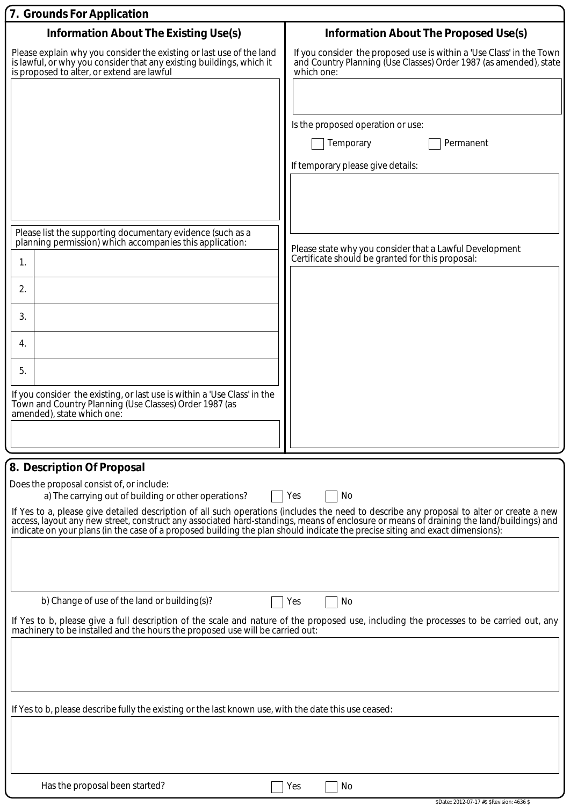| 7. Grounds For Application                                                                                                                                                                 |                                                                                                                                                                                                                                                                                      |
|--------------------------------------------------------------------------------------------------------------------------------------------------------------------------------------------|--------------------------------------------------------------------------------------------------------------------------------------------------------------------------------------------------------------------------------------------------------------------------------------|
| Information About The Existing Use(s)                                                                                                                                                      | Information About The Proposed Use(s)                                                                                                                                                                                                                                                |
| Please explain why you consider the existing or last use of the land<br>is lawful, or why you consider that any existing buildings, which it<br>is proposed to alter, or extend are lawful | If you consider the proposed use is within a 'Use Class' in the Town<br>and Country Planning (Use Classes) Order 1987 (as amended), state<br>which one:                                                                                                                              |
|                                                                                                                                                                                            |                                                                                                                                                                                                                                                                                      |
|                                                                                                                                                                                            | Is the proposed operation or use:                                                                                                                                                                                                                                                    |
|                                                                                                                                                                                            | Temporary<br>Permanent                                                                                                                                                                                                                                                               |
|                                                                                                                                                                                            | If temporary please give details:                                                                                                                                                                                                                                                    |
|                                                                                                                                                                                            |                                                                                                                                                                                                                                                                                      |
|                                                                                                                                                                                            |                                                                                                                                                                                                                                                                                      |
| Please list the supporting documentary evidence (such as a<br>planning permission) which accompanies this application:                                                                     |                                                                                                                                                                                                                                                                                      |
| 1.                                                                                                                                                                                         | Please state why you consider that a Lawful Development<br>Certificate should be granted for this proposal:                                                                                                                                                                          |
|                                                                                                                                                                                            |                                                                                                                                                                                                                                                                                      |
| 2.                                                                                                                                                                                         |                                                                                                                                                                                                                                                                                      |
| 3.                                                                                                                                                                                         |                                                                                                                                                                                                                                                                                      |
| 4.                                                                                                                                                                                         |                                                                                                                                                                                                                                                                                      |
| 5.                                                                                                                                                                                         |                                                                                                                                                                                                                                                                                      |
| If you consider the existing, or last use is within a 'Use Class' in the<br>Town and Country Planning (Use Classes) Order 1987 (as                                                         |                                                                                                                                                                                                                                                                                      |
| amended), state which one:                                                                                                                                                                 |                                                                                                                                                                                                                                                                                      |
|                                                                                                                                                                                            |                                                                                                                                                                                                                                                                                      |
| 8. Description Of Proposal                                                                                                                                                                 |                                                                                                                                                                                                                                                                                      |
| Does the proposal consist of, or include:<br>a) The carrying out of building or other operations?                                                                                          | Yes<br>No                                                                                                                                                                                                                                                                            |
|                                                                                                                                                                                            | If Yes to a, please give detailed description of all such operations (includes the need to describe any proposal to alter or create a new<br>access, layout any new street, construct any associated hard-standings, means of enclosure or means of draining the land/buildings) and |
| indicate on your plans (in the case of a proposed building the plan should indicate the precise siting and exact dimensions):                                                              |                                                                                                                                                                                                                                                                                      |
|                                                                                                                                                                                            |                                                                                                                                                                                                                                                                                      |
|                                                                                                                                                                                            |                                                                                                                                                                                                                                                                                      |
| b) Change of use of the land or building(s)?                                                                                                                                               | Yes<br>No                                                                                                                                                                                                                                                                            |
| machinery to be installed and the hours the proposed use will be carried out.                                                                                                              | If Yes to b, please give a full description of the scale and nature of the proposed use, including the processes to be carried out, any                                                                                                                                              |
|                                                                                                                                                                                            |                                                                                                                                                                                                                                                                                      |
|                                                                                                                                                                                            |                                                                                                                                                                                                                                                                                      |
|                                                                                                                                                                                            |                                                                                                                                                                                                                                                                                      |
| If Yes to b, please describe fully the existing or the last known use, with the date this use ceased:                                                                                      |                                                                                                                                                                                                                                                                                      |
|                                                                                                                                                                                            |                                                                                                                                                                                                                                                                                      |
|                                                                                                                                                                                            |                                                                                                                                                                                                                                                                                      |
| Has the proposal been started?                                                                                                                                                             | Yes<br>No<br>\$Date:: 2012-07-17 #\$ \$Revision: 4636 \$                                                                                                                                                                                                                             |
|                                                                                                                                                                                            |                                                                                                                                                                                                                                                                                      |